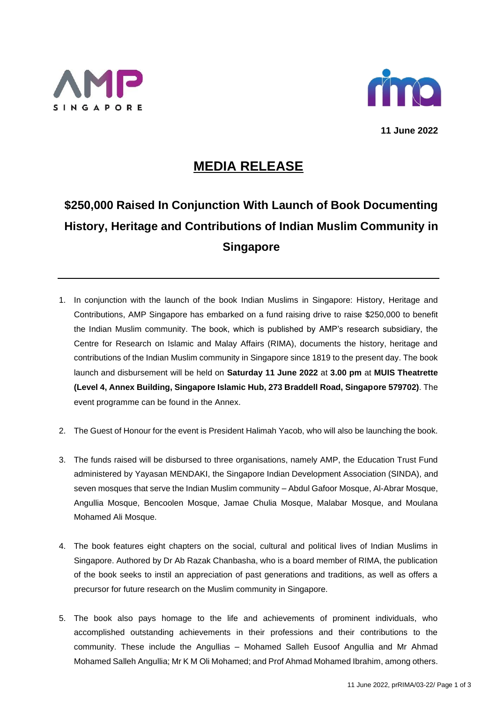



**11 June 2022**

## **MEDIA RELEASE**

## **\$250,000 Raised In Conjunction With Launch of Book Documenting History, Heritage and Contributions of Indian Muslim Community in Singapore**

- 1. In conjunction with the launch of the book *Indian Muslims in Singapore: History, Heritage and Contributions*, AMP Singapore has embarked on a fund raising drive to raise \$250,000 to benefit the Indian Muslim community. The book, which is published by AMP's research subsidiary, the Centre for Research on Islamic and Malay Affairs (RIMA), documents the history, heritage and contributions of the Indian Muslim community in Singapore since 1819 to the present day. The book launch and disbursement will be held on **Saturday 11 June 2022** at **3.00 pm** at **MUIS Theatrette (Level 4, Annex Building, Singapore Islamic Hub, 273 Braddell Road, Singapore 579702)**. The event programme can be found in the Annex.
- 2. The Guest of Honour for the event is President Halimah Yacob, who will also be launching the book.
- 3. The funds raised will be disbursed to three organisations, namely AMP, the Education Trust Fund administered by Yayasan MENDAKI, the Singapore Indian Development Association (SINDA), and seven mosques that serve the Indian Muslim community – Abdul Gafoor Mosque, Al-Abrar Mosque, Angullia Mosque, Bencoolen Mosque, Jamae Chulia Mosque, Malabar Mosque, and Moulana Mohamed Ali Mosque.
- 4. The book features eight chapters on the social, cultural and political lives of Indian Muslims in Singapore. Authored by Dr Ab Razak Chanbasha, who is a board member of RIMA, the publication of the book seeks to instil an appreciation of past generations and traditions, as well as offers a precursor for future research on the Muslim community in Singapore.
- 5. The book also pays homage to the life and achievements of prominent individuals, who accomplished outstanding achievements in their professions and their contributions to the community. These include the Angullias – Mohamed Salleh Eusoof Angullia and Mr Ahmad Mohamed Salleh Angullia; Mr K M Oli Mohamed; and Prof Ahmad Mohamed Ibrahim, among others.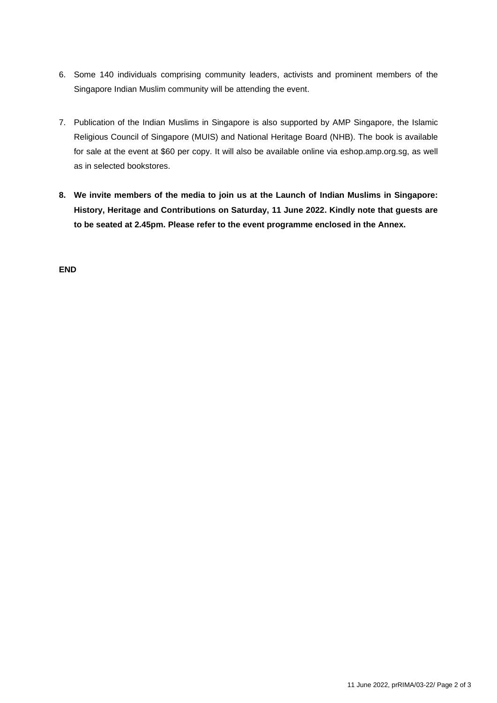- 6. Some 140 individuals comprising community leaders, activists and prominent members of the Singapore Indian Muslim community will be attending the event.
- 7. Publication of the *Indian Muslims in Singapore* is also supported by AMP Singapore, the Islamic Religious Council of Singapore (MUIS) and National Heritage Board (NHB). The book is available for sale at the event at \$60 per copy. It will also be available online via eshop.amp.org.sg, as well as in selected bookstores.
- **8. We invite members of the media to join us at the Launch of** *Indian Muslims in Singapore: History, Heritage and Contributions* **on Saturday, 11 June 2022. Kindly note that guests are to be seated at 2.45pm. Please refer to the event programme enclosed in the Annex.**

**END**